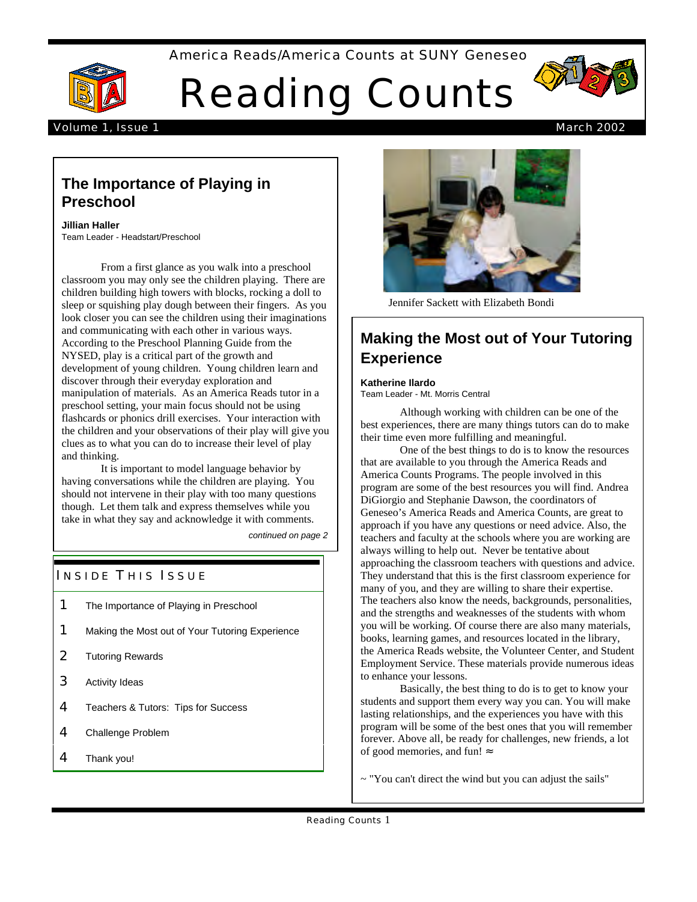#### America Reads/America Counts at SUNY Geneseo



Reading Counts



#### Volume 1, Issue 1 March 2002

# **The Importance of Playing in Preschool**

**Jillian Haller**  Team Leader - Headstart/Preschool

From a first glance as you walk into a preschool classroom you may only see the children playing. There are children building high towers with blocks, rocking a doll to sleep or squishing play dough between their fingers. As you look closer you can see the children using their imaginations and communicating with each other in various ways. According to the Preschool Planning Guide from the NYSED, play is a critical part of the growth and development of young children. Young children learn and discover through their everyday exploration and manipulation of materials. As an America Reads tutor in a preschool setting, your main focus should not be using flashcards or phonics drill exercises. Your interaction with the children and your observations of their play will give you clues as to what you can do to increase their level of play and thinking.

It is important to model language behavior by having conversations while the children are playing. You should not intervene in their play with too many questions though. Let them talk and express themselves while you take in what they say and acknowledge it with comments.

*continued on page 2*

## **INSIDE THIS ISSUE**

- **1** The Importance of Playing in Preschool
- 1 Making the Most out of Your Tutoring Experience
- 2 Tutoring Rewards
- **3** Activity Ideas
- 4 Teachers & Tutors: Tips for Success
- 4 Challenge Problem
- 4 Thank you!



Jennifer Sackett with Elizabeth Bondi

# **Making the Most out of Your Tutoring Experience**

**Katherine Ilardo** 

Team Leader - Mt. Morris Central

Although working with children can be one of the best experiences, there are many things tutors can do to make their time even more fulfilling and meaningful.

One of the best things to do is to know the resources that are available to you through the America Reads and America Counts Programs. The people involved in this program are some of the best resources you will find. Andrea DiGiorgio and Stephanie Dawson, the coordinators of Geneseo's America Reads and America Counts, are great to approach if you have any questions or need advice. Also, the teachers and faculty at the schools where you are working are always willing to help out. Never be tentative about approaching the classroom teachers with questions and advice. They understand that this is the first classroom experience for many of you, and they are willing to share their expertise. The teachers also know the needs, backgrounds, personalities, and the strengths and weaknesses of the students with whom you will be working. Of course there are also many materials, books, learning games, and resources located in the library, the America Reads website, the Volunteer Center, and Student Employment Service. These materials provide numerous ideas to enhance your lessons.

Basically, the best thing to do is to get to know your students and support them every way you can. You will make lasting relationships, and the experiences you have with this program will be some of the best ones that you will remember forever. Above all, be ready for challenges, new friends, a lot of good memories, and fun!

 $\sim$  "You can't direct the wind but you can adjust the sails"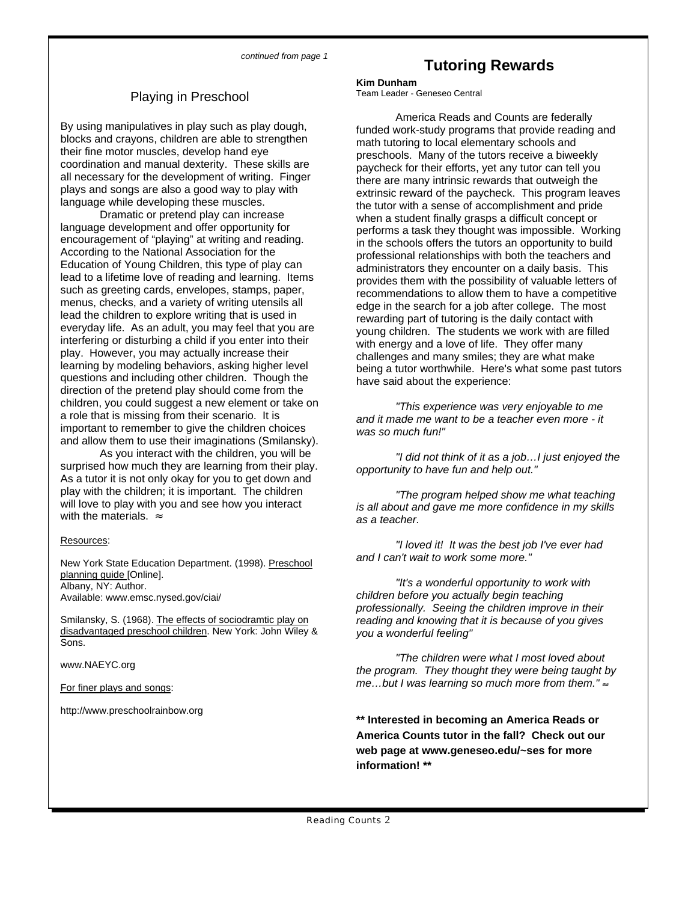# Playing in Preschool

children, you could suggest a new element or take on *"This experience was very enjoyable to me* a role that is missing from their scenario. It is *and it made me want to be a teacher even more - it*  important to remember to give the children choices *was so much fun!"*  and allow them to use their imaginations (Smilansky).

As you interact with the children, you will be<br>surprised how much they are learning from their play.<br>As a tutor it is not only okay for you to get down and<br>As a tutor it is not only okay for you to get down and play with the children; it is important. The children<br>will love to play with you and see how you interact<br>with the materials. as a teacher. as a teacher.

New York State Education Department. (1998). Preschool planning guide [Online]. Albany, NY: Author. *"It's a wonderful opportunity to work with*

Smilansky, S. (1968). The effects of sociodramtic play on *reading and knowing that it is because of you gives*  disadvantaged preschool children. New York: John Wiley & *you a wonderful feeling*"<br>Sons.

http://www.preschoolrainbow.org

# **Tutoring Rewards**

**Kim Dunham** 

By using manipulatives in play such as play dough,<br>
where a Reads and Counts are federally<br>
blocks and cray one, children are able to strengthen<br>
their fine motor muscles, develop hand eye<br>
coordination and manual dexterit

Resources: *"I loved it! It was the best job I've ever had* 

children before you actually begin teaching *professionally. Seeing the children improve in their* 

*"The children were what I most loved about* www.NAEYC.org *the program. They thought they were being taught by For finer plays and songs:* For finer plays and songs: For finer plays and songs: For finer plays and songs: For finer plays and songs: For finer plays and songs: For finer plays and songs: For finer plays and songs: For

> **\*\* Interested in becoming an America Reads or America Counts tutor in the fall? Check out our web page at www.geneseo.edu/~ses for more information! \*\***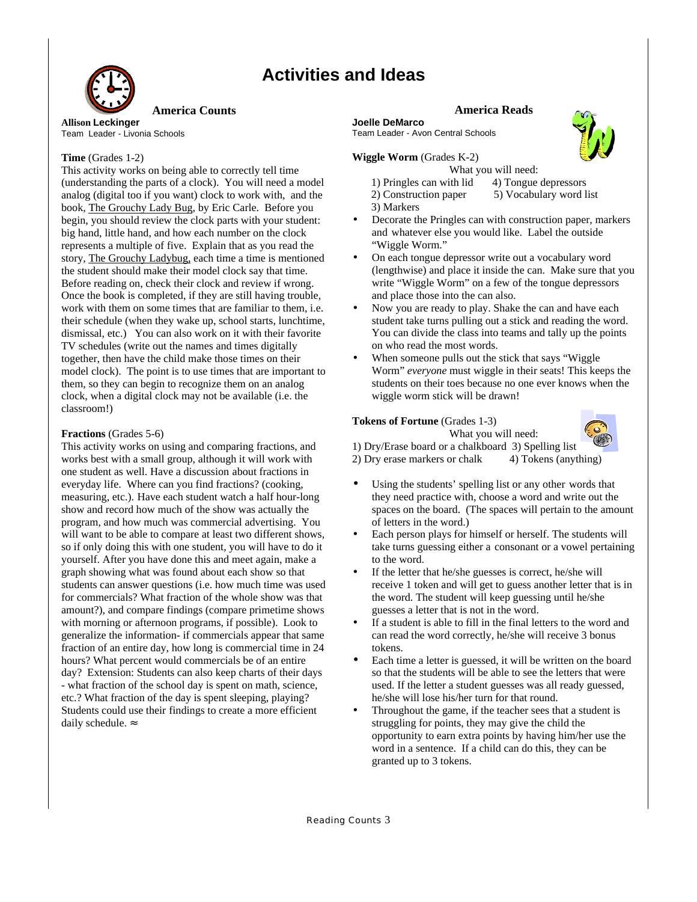# **Activities and Ideas**



**Allison Leckinger Contract Contract Server Allison Leader - Livonia Schools Contract Contract Contract Team Leader - Ave<br>Team Leader - Livonia Schools Contract Contract Contract Contract Contract Contract Contract Contrac** 

This activity works on being able to correctly tell time What you will need: (understanding the parts of a clock). You will need a model 1) Pringles can with lid 4) Tongue depressors analog (digital too if you want) clock to work with, and the 2) Construction paper 5) Vocabulary word list book, The Grouchy Lady Bug, by Eric Carle. Before you 3) Markers big hand, little hand, and how each number on the clock and whatever else you would like. Label the outside represents a multiple of five. Explain that as you read the "Wiggle Worm." story, The Grouchy Ladybug, each time a time is mentioned • On each tongue depressor write out a vocabulary word Before reading on, check their clock and review if wrong. write "Wiggle Worm" on a few of the tongue depressors Once the book is completed, if they are still having trouble, and place those into the can also. work with them on some times that are familiar to them, i.e.  $\cdot \cdot \cdot$  Now you are ready to play. Shake the can and have each TV schedules (write out the names and times digitally on who read the most words. together, then have the child make those times on their • When someone pulls out the stick that says "Wiggle" clock, when a digital clock may not be available (i.e. the wiggle worm stick will be drawn! classroom!)

#### **Fractions** (Grades 5-6) What you will need:

This activity works on using and comparing fractions, and 1) Dry/Erase board or a chalkboard 3) Spelling list works best with a small group, although it will work with 2) Dry erase markers or chalk 4) Tokens (anything) one student as well. Have a discussion about fractions in everyday life. Where can you find fractions? (cooking, • Using the students' spelling list or any other words that program, and how much was commercial advertising. You of letters in the word.) yourself. After you have done this and meet again, make a to the word. graph showing what was found about each show so that • If the letter that he/she guesses is correct, he/she will for commercials? What fraction of the whole show was that the word. The student will keep guessing until he/she amount?), and compare findings (compare primetime shows guesses a letter that is not in the word. generalize the information- if commercials appear that same can read the word correctly, he/she will receive 3 bonus fraction of an entire day, how long is commercial time in 24 tokens. etc.? What fraction of the day is spent sleeping, playing? he/she will lose his/her turn for that round. daily schedule.  $strugging for points, they may give the child the$ 

#### **America Counts America Reads**

Team Leader - Avon Central Schools

**Time** (Grades 1-2) **Wiggle Worm** (Grades K-2)

- 
- begin, you should review the clock parts with your student: Decorate the Pringles can with construction paper, markers
- the student should make their model clock say that time. (lengthwise) and place it inside the can. Make sure that you
- their schedule (when they wake up, school starts, lunchtime, student take turns pulling out a stick and reading the word. dismissal, etc.) You can also work on it with their favorite You can divide the class into teams and tally up the points
- model clock). The point is to use times that are important to Worm" *everyone* must wiggle in their seats! This keeps the them, so they can begin to recognize them on an analog students on their toes because no one ever knows when the

### **Tokens of Fortune** (Grades 1-3)



- measuring, etc.). Have each student watch a half hour-long they need practice with, choose a word and write out the show and record how much of the show was actually the spaces on the board. (The spaces will pertain to the amount
- will want to be able to compare at least two different shows, except that be respected to herself. The students will so if only doing this with one student, you will have to do it take turns guessing either a consonant or a vowel pertaining
- students can answer questions (i.e. how much time was used receive 1 token and will get to guess another letter that is in
- with morning or afternoon programs, if possible). Look to **•** If a student is able to fill in the final letters to the word and
- hours? What percent would commercials be of an entire **•** Each time a letter is guessed, it will be written on the board day? Extension: Students can also keep charts of their days so that the students will be able to see the letters that were - what fraction of the school day is spent on math, science, used. If the letter a student guesses was all ready guessed,
- Students could use their findings to create a more efficient Throughout the game, if the teacher sees that a student is opportunity to earn extra points by having him/her use the word in a sentence. If a child can do this, they can be granted up to 3 tokens.